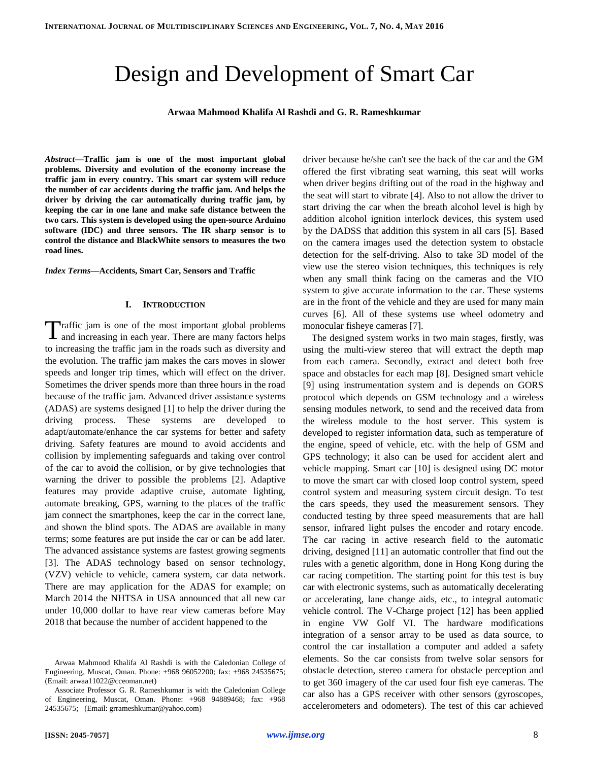# Design and Development of Smart Car

**Arwaa Mahmood Khalifa Al Rashdi and G. R. Rameshkumar**

*Abstract***—Traffic jam is one of the most important global problems. Diversity and evolution of the economy increase the traffic jam in every country. This smart car system will reduce the number of car accidents during the traffic jam. And helps the driver by driving the car automatically during traffic jam, by keeping the car in one lane and make safe distance between the two cars. This system is developed using the open-source Arduino software (IDC) and three sensors. The IR sharp sensor is to control the distance and BlackWhite sensors to measures the two road lines.**

*Index Terms***—Accidents, Smart Car, Sensors and Traffic**

### **I. INTRODUCTION**

raffic jam is one of the most important global problems Traffic jam is one of the most important global problems<br>and increasing in each year. There are many factors helps to increasing the traffic jam in the roads such as diversity and the evolution. The traffic jam makes the cars moves in slower speeds and longer trip times, which will effect on the driver. Sometimes the driver spends more than three hours in the road because of the traffic jam. Advanced driver assistance systems (ADAS) are systems designed [1] to help the driver during the driving process. These systems are developed to adapt/automate/enhance the car systems for better and safety driving. Safety features are mound to avoid accidents and collision by implementing safeguards and taking over control of the car to avoid the collision, or by give technologies that warning the driver to possible the problems [2]. Adaptive features may provide adaptive cruise, automate lighting, automate breaking, GPS, warning to the places of the traffic jam connect the smartphones, keep the car in the correct lane, and shown the blind spots. The ADAS are available in many terms; some features are put inside the car or can be add later. The advanced assistance systems are fastest growing segments [3]. The ADAS technology based on sensor technology, (VZV) vehicle to vehicle, camera system, car data network. There are may application for the ADAS for example; on March 2014 the NHTSA in USA announced that all new car under 10,000 dollar to have rear view cameras before May 2018 that because the number of accident happened to the

driver because he/she can't see the back of the car and the GM offered the first vibrating seat warning, this seat will works when driver begins drifting out of the road in the highway and the seat will start to vibrate [4]. Also to not allow the driver to start driving the car when the breath alcohol level is high by addition alcohol ignition interlock devices, this system used by the DADSS that addition this system in all cars [5]. Based on the camera images used the detection system to obstacle detection for the self-driving. Also to take 3D model of the view use the stereo vision techniques, this techniques is rely when any small think facing on the cameras and the VIO system to give accurate information to the car. These systems are in the front of the vehicle and they are used for many main curves [6]. All of these systems use wheel odometry and monocular fisheye cameras [7].

The designed system works in two main stages, firstly, was using the multi-view stereo that will extract the depth map from each camera. Secondly, extract and detect both free space and obstacles for each map [8]. Designed smart vehicle [9] using instrumentation system and is depends on GORS protocol which depends on GSM technology and a wireless sensing modules network, to send and the received data from the wireless module to the host server. This system is developed to register information data, such as temperature of the engine, speed of vehicle, etc. with the help of GSM and GPS technology; it also can be used for accident alert and vehicle mapping. Smart car [10] is designed using DC motor to move the smart car with closed loop control system, speed control system and measuring system circuit design. To test the cars speeds, they used the measurement sensors. They conducted testing by three speed measurements that are hall sensor, infrared light pulses the encoder and rotary encode. The car racing in active research field to the automatic driving, designed [11] an automatic controller that find out the rules with a genetic algorithm, done in Hong Kong during the car racing competition. The starting point for this test is buy car with electronic systems, such as automatically decelerating or accelerating, lane change aids, etc., to integral automatic vehicle control. The V-Charge project [12] has been applied in engine VW Golf VI. The hardware modifications integration of a sensor array to be used as data source, to control the car installation a computer and added a safety elements. So the car consists from twelve solar sensors for obstacle detection, stereo camera for obstacle perception and to get 360 imagery of the car used four fish eye cameras. The car also has a GPS receiver with other sensors (gyroscopes, accelerometers and odometers). The test of this car achieved

Arwaa Mahmood Khalifa Al Rashdi is with the Caledonian College of Engineering, Muscat, Oman. Phone: +968 96052200; fax: +968 24535675; (Email: arwaa11022@cceoman.net)

Associate Professor G. R. Rameshkumar is with the Caledonian College of Engineering, Muscat, Oman. Phone: +968 94889468; fax: +968 24535675; (Email: grrameshkumar@yahoo.com)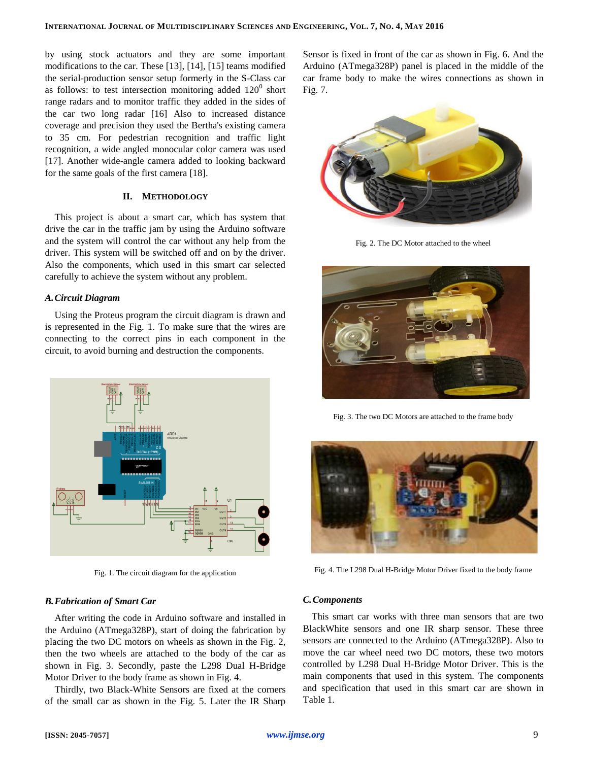by using stock actuators and they are some important modifications to the car. These [13], [14], [15] teams modified the serial-production sensor setup formerly in the S-Class car as follows: to test intersection monitoring added  $120^0$  short range radars and to monitor traffic they added in the sides of the car two long radar [16] Also to increased distance coverage and precision they used the Bertha's existing camera to 35 cm. For pedestrian recognition and traffic light recognition, a wide angled monocular color camera was used [17]. Another wide-angle camera added to looking backward for the same goals of the first camera [18].

# **II. METHODOLOGY**

This project is about a smart car, which has system that drive the car in the traffic jam by using the Arduino software and the system will control the car without any help from the driver. This system will be switched off and on by the driver. Also the components, which used in this smart car selected carefully to achieve the system without any problem.

#### *A.Circuit Diagram*

Using the Proteus program the circuit diagram is drawn and is represented in the Fig. 1. To make sure that the wires are connecting to the correct pins in each component in the circuit, to avoid burning and destruction the components.



Fig. 1. The circuit diagram for the application

# *B.Fabrication of Smart Car*

After writing the code in Arduino software and installed in the Arduino [\(ATmega328P\)](http://www.atmel.com/Images/doc8161.pdf), start of doing the fabrication by placing the two DC motors on wheels as shown in the Fig. 2, then the two wheels are attached to the body of the car as shown in Fig. 3. Secondly, paste the L298 Dual H-Bridge Motor Driver to the body frame as shown in Fig. 4.

Thirdly, two Black-White Sensors are fixed at the corners of the small car as shown in the Fig. 5. Later the IR Sharp Sensor is fixed in front of the car as shown in Fig. 6. And the Arduino [\(ATmega328P\)](http://www.atmel.com/Images/doc8161.pdf) panel is placed in the middle of the car frame body to make the wires connections as shown in Fig. 7.



Fig. 2. The DC Motor attached to the wheel



Fig. 3. The two DC Motors are attached to the frame body



Fig. 4. The L298 Dual H-Bridge Motor Driver fixed to the body frame

#### *C.Components*

This smart car works with three man sensors that are two BlackWhite sensors and one IR sharp sensor. These three sensors are connected to the Arduino [\(ATmega328P\)](http://www.atmel.com/Images/doc8161.pdf). Also to move the car wheel need two DC motors, these two motors controlled by L298 Dual H-Bridge Motor Driver. This is the main components that used in this system. The components and specification that used in this smart car are shown in Table 1.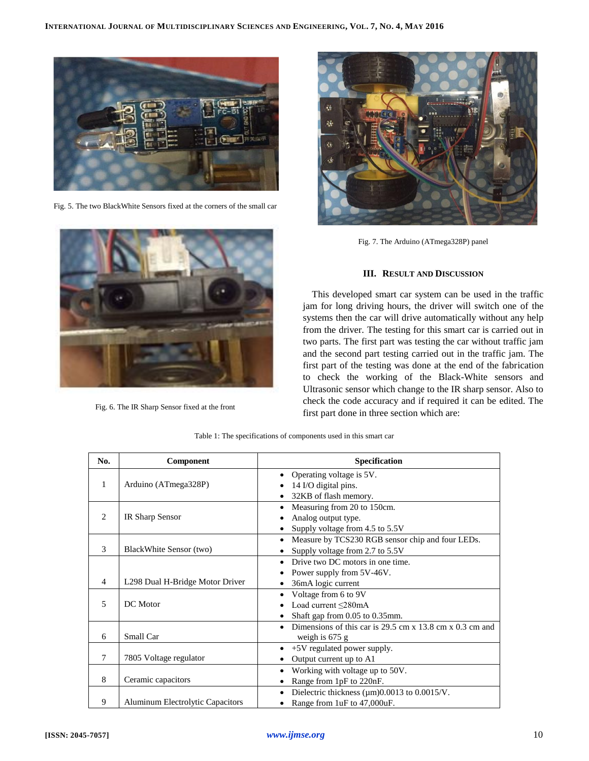

Fig. 5. The two BlackWhite Sensors fixed at the corners of the small car



Fig. 6. The IR Sharp Sensor fixed at the front



Fig. 7. The Arduino [\(ATmega328P\)](http://www.atmel.com/Images/doc8161.pdf) panel

# **III. RESULT AND DISCUSSION**

This developed smart car system can be used in the traffic jam for long driving hours, the driver will switch one of the systems then the car will drive automatically without any help from the driver. The testing for this smart car is carried out in two parts. The first part was testing the car without traffic jam and the second part testing carried out in the traffic jam. The first part of the testing was done at the end of the fabrication to check the working of the Black-White sensors and Ultrasonic sensor which change to the IR sharp sensor. Also to check the code accuracy and if required it can be edited. The first part done in three section which are:

| No.                      | Component                               | Specification                                                 |  |
|--------------------------|-----------------------------------------|---------------------------------------------------------------|--|
|                          |                                         | Operating voltage is 5V.                                      |  |
| 1                        | Arduino (ATmega328P)                    | 14 I/O digital pins.                                          |  |
|                          |                                         | 32KB of flash memory.                                         |  |
|                          |                                         | Measuring from 20 to 150cm.                                   |  |
| 2                        | IR Sharp Sensor                         | Analog output type.                                           |  |
|                          |                                         | Supply voltage from 4.5 to 5.5V                               |  |
|                          |                                         | Measure by TCS230 RGB sensor chip and four LEDs.<br>$\bullet$ |  |
| $\mathcal{R}$            | BlackWhite Sensor (two)                 | Supply voltage from 2.7 to 5.5V                               |  |
|                          |                                         | Drive two DC motors in one time.                              |  |
|                          |                                         | Power supply from 5V-46V.                                     |  |
| 4                        | L298 Dual H-Bridge Motor Driver         | 36mA logic current                                            |  |
|                          |                                         | Voltage from 6 to 9V                                          |  |
| $\overline{\phantom{0}}$ | DC Motor                                | Load current <280mA                                           |  |
|                          |                                         | Shaft gap from 0.05 to 0.35mm.                                |  |
|                          |                                         | Dimensions of this car is 29.5 cm $x$ 13.8 cm $x$ 0.3 cm and  |  |
| 6                        | Small Car                               | weigh is $675$ g                                              |  |
|                          |                                         | $+5V$ regulated power supply.                                 |  |
| 7                        | 7805 Voltage regulator                  | Output current up to A1                                       |  |
|                          |                                         | Working with voltage up to 50V.                               |  |
| 8                        | Ceramic capacitors                      | Range from 1pF to 220nF.                                      |  |
|                          |                                         | Dielectric thickness $(\mu m)0.0013$ to $0.0015/V$ .          |  |
| 9                        | <b>Aluminum Electrolytic Capacitors</b> | Range from 1uF to 47,000uF.                                   |  |

Table 1: The specifications of components used in this smart car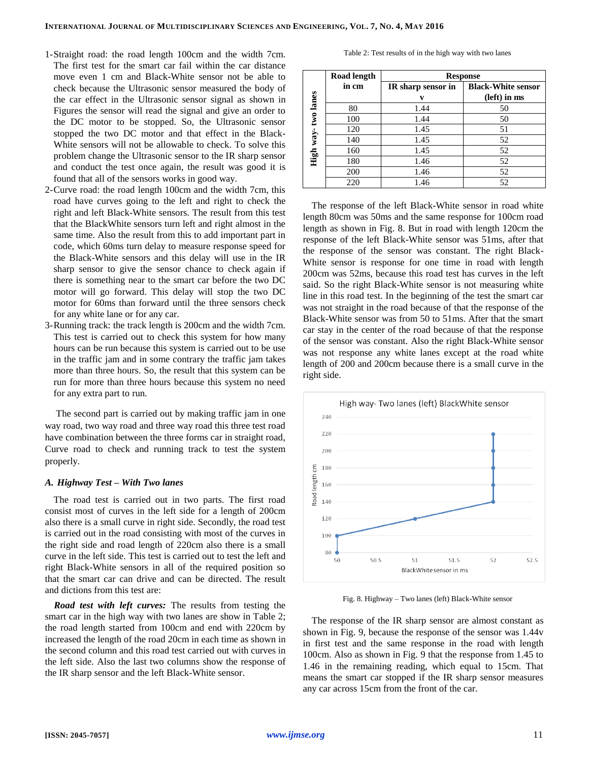- 1-Straight road: the road length 100cm and the width 7cm. The first test for the smart car fail within the car distance move even 1 cm and Black-White sensor not be able to check because the Ultrasonic sensor measured the body of the car effect in the Ultrasonic sensor signal as shown in Figures the sensor will read the signal and give an order to the DC motor to be stopped. So, the Ultrasonic sensor stopped the two DC motor and that effect in the Black-White sensors will not be allowable to check. To solve this problem change the Ultrasonic sensor to the IR sharp sensor and conduct the test once again, the result was good it is found that all of the sensors works in good way.
- 2-Curve road: the road length 100cm and the width 7cm, this road have curves going to the left and right to check the right and left Black-White sensors. The result from this test that the BlackWhite sensors turn left and right almost in the same time. Also the result from this to add important part in code, which 60ms turn delay to measure response speed for the Black-White sensors and this delay will use in the IR sharp sensor to give the sensor chance to check again if there is something near to the smart car before the two DC motor will go forward. This delay will stop the two DC motor for 60ms than forward until the three sensors check for any white lane or for any car.
- 3-Running track: the track length is 200cm and the width 7cm. This test is carried out to check this system for how many hours can be run because this system is carried out to be use in the traffic jam and in some contrary the traffic jam takes more than three hours. So, the result that this system can be run for more than three hours because this system no need for any extra part to run.

The second part is carried out by making traffic jam in one way road, two way road and three way road this three test road have combination between the three forms car in straight road, Curve road to check and running track to test the system properly.

### *A. Highway Test – With Two lanes*

The road test is carried out in two parts. The first road consist most of curves in the left side for a length of 200cm also there is a small curve in right side. Secondly, the road test is carried out in the road consisting with most of the curves in the right side and road length of 220cm also there is a small curve in the left side. This test is carried out to test the left and right Black-White sensors in all of the required position so that the smart car can drive and can be directed. The result and dictions from this test are:

*Road test with left curves:* The results from testing the smart car in the high way with two lanes are show in Table 2; the road length started from 100cm and end with 220cm by increased the length of the road 20cm in each time as shown in the second column and this road test carried out with curves in the left side. Also the last two columns show the response of the IR sharp sensor and the left Black-White sensor.

Table 2: Test results of in the high way with two lanes

|           | Road length | <b>Response</b>    |                           |
|-----------|-------------|--------------------|---------------------------|
|           | in cm       | IR sharp sensor in | <b>Black-White sensor</b> |
| two lanes |             | v                  | (left) in ms              |
|           | 80          | 1.44               | 50                        |
|           | 100         | 1.44               | 50                        |
|           | 120         | 1.45               | 51                        |
|           | 140         | 1.45               | 52                        |
| High way- | 160         | 1.45               | 52                        |
|           | 180         | 1.46               | 52                        |
|           | 200         | 1.46               | 52                        |
|           | 220         | 1.46               | 52                        |

The response of the left Black-White sensor in road white length 80cm was 50ms and the same response for 100cm road length as shown in Fig. 8. But in road with length 120cm the response of the left Black-White sensor was 51ms, after that the response of the sensor was constant. The right Black-White sensor is response for one time in road with length 200cm was 52ms, because this road test has curves in the left said. So the right Black-White sensor is not measuring white line in this road test. In the beginning of the test the smart car was not straight in the road because of that the response of the Black-White sensor was from 50 to 51ms. After that the smart car stay in the center of the road because of that the response of the sensor was constant. Also the right Black-White sensor was not response any white lanes except at the road white length of 200 and 200cm because there is a small curve in the right side.



Fig. 8. Highway – Two lanes (left) Black-White sensor

The response of the IR sharp sensor are almost constant as shown in Fig. 9, because the response of the sensor was 1.44v in first test and the same response in the road with length 100cm. Also as shown in Fig. 9 that the response from 1.45 to 1.46 in the remaining reading, which equal to 15cm. That means the smart car stopped if the IR sharp sensor measures any car across 15cm from the front of the car.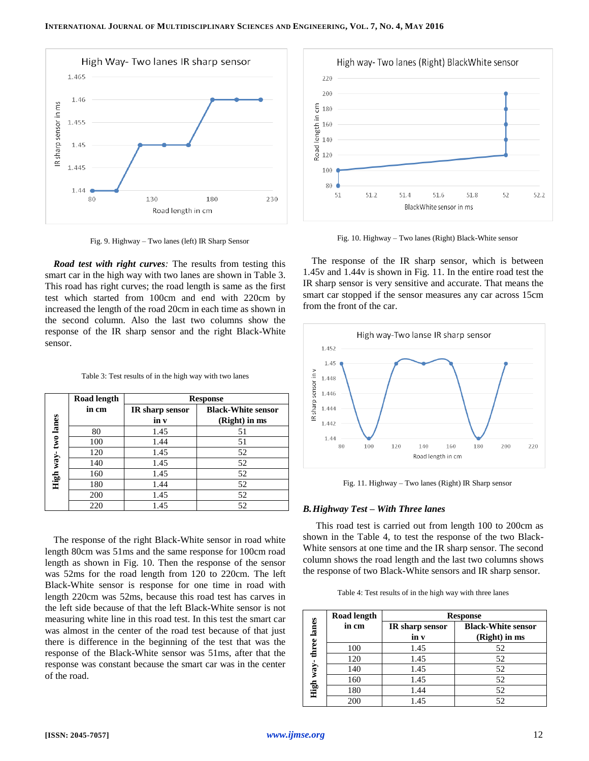

Fig. 9. Highway – Two lanes (left) IR Sharp Sensor

*Road test with right curves:* The results from testing this smart car in the high way with two lanes are shown in Table 3. This road has right curves; the road length is same as the first test which started from 100cm and end with 220cm by increased the length of the road 20cm in each time as shown in the second column. Also the last two columns show the response of the IR sharp sensor and the right Black-White sensor.

|           | <b>Road length</b><br><b>Response</b> |                 |                           |
|-----------|---------------------------------------|-----------------|---------------------------|
|           | in cm                                 | IR sharp sensor | <b>Black-White sensor</b> |
| two lanes |                                       | in v            | (Right) in ms             |
|           | 80                                    | 1.45            | 51                        |
|           | 100                                   | 1.44            | 51                        |
|           | 120                                   | 1.45            | 52                        |
|           | 140                                   | 1.45            | 52                        |
| High way- | 160                                   | 1.45            | 52                        |
|           | 180                                   | 1.44            | 52                        |
|           | 200                                   | 1.45            | 52                        |
|           | 220                                   | 1.45            | 52                        |

The response of the right Black-White sensor in road white length 80cm was 51ms and the same response for 100cm road length as shown in Fig. 10. Then the response of the sensor was 52ms for the road length from 120 to 220cm. The left Black-White sensor is response for one time in road with length 220cm was 52ms, because this road test has carves in the left side because of that the left Black-White sensor is not measuring white line in this road test. In this test the smart car was almost in the center of the road test because of that just there is difference in the beginning of the test that was the response of the Black-White sensor was 51ms, after that the response was constant because the smart car was in the center of the road.



Fig. 10. Highway – Two lanes (Right) Black-White sensor

The response of the IR sharp sensor, which is between 1.45v and 1.44v is shown in Fig. 11. In the entire road test the IR sharp sensor is very sensitive and accurate. That means the smart car stopped if the sensor measures any car across 15cm from the front of the car.



Fig. 11. Highway – Two lanes (Right) IR Sharp sensor

### *B.Highway Test – With Three lanes*

This road test is carried out from length 100 to 200cm as shown in the Table 4, to test the response of the two Black-White sensors at one time and the IR sharp sensor. The second column shows the road length and the last two columns shows the response of two Black-White sensors and IR sharp sensor.

Table 4: Test results of in the high way with three lanes

|             | Road length | <b>Response</b>         |                                            |  |
|-------------|-------------|-------------------------|--------------------------------------------|--|
| three lanes | in cm       | IR sharp sensor<br>in v | <b>Black-White sensor</b><br>(Right) in ms |  |
|             | 100         | 1.45                    | 52                                         |  |
|             | 120         | 1.45                    | 52                                         |  |
| way-        | 140         | 1.45                    | 52                                         |  |
|             | 160         | 1.45                    | 52                                         |  |
| High        | 180         | 1.44                    | 52                                         |  |
|             | 200         | 1.45                    | 52                                         |  |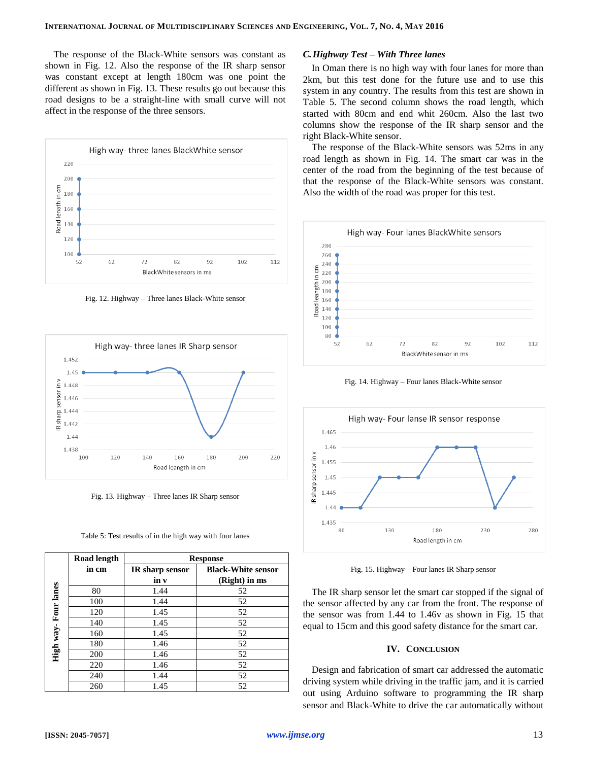The response of the Black-White sensors was constant as shown in Fig. 12. Also the response of the IR sharp sensor was constant except at length 180cm was one point the different as shown in Fig. 13. These results go out because this road designs to be a straight-line with small curve will not affect in the response of the three sensors.



Fig. 12. Highway – Three lanes Black-White sensor



Fig. 13. Highway – Three lanes IR Sharp sensor



|                     | <b>Road length</b> | <b>Response</b>        |                           |
|---------------------|--------------------|------------------------|---------------------------|
|                     | in cm              | <b>IR</b> sharp sensor | <b>Black-White sensor</b> |
|                     |                    | in v                   | (Right) in ms             |
|                     | 80                 | 1.44                   | 52                        |
|                     | 100                | 1.44                   | 52                        |
|                     | 120                | 1.45                   | 52                        |
| High way-Four lanes | 140                | 1.45                   | 52                        |
|                     | 160                | 1.45                   | 52                        |
|                     | 180                | 1.46                   | 52                        |
|                     | 200                | 1.46                   | 52                        |
|                     | 220                | 1.46                   | 52                        |
|                     | 240                | 1.44                   | 52                        |
|                     | 260                | 1.45                   | 52                        |

### *C.Highway Test – With Three lanes*

In Oman there is no high way with four lanes for more than 2km, but this test done for the future use and to use this system in any country. The results from this test are shown in Table 5. The second column shows the road length, which started with 80cm and end whit 260cm. Also the last two columns show the response of the IR sharp sensor and the right Black-White sensor.

The response of the Black-White sensors was 52ms in any road length as shown in Fig. 14. The smart car was in the center of the road from the beginning of the test because of that the response of the Black-White sensors was constant. Also the width of the road was proper for this test.



Fig. 14. Highway – Four lanes Black-White sensor



Fig. 15. Highway – Four lanes IR Sharp sensor

The IR sharp sensor let the smart car stopped if the signal of the sensor affected by any car from the front. The response of the sensor was from 1.44 to 1.46v as shown in Fig. 15 that equal to 15cm and this good safety distance for the smart car.

#### **IV. CONCLUSION**

Design and fabrication of smart car addressed the automatic driving system while driving in the traffic jam, and it is carried out using Arduino software to programming the IR sharp sensor and Black-White to drive the car automatically without